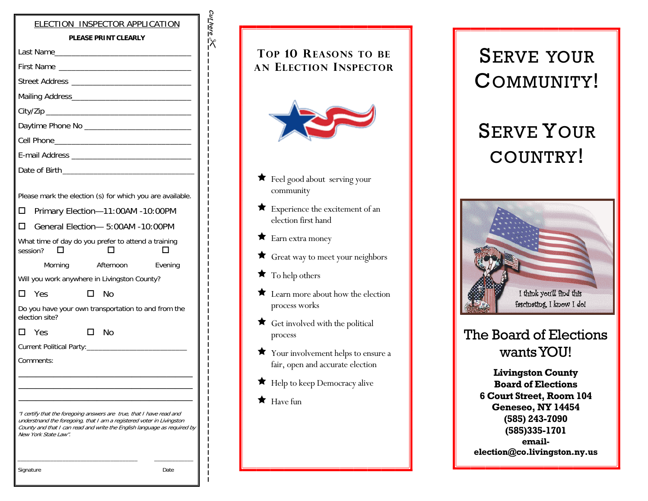| ELECTION INSPECTOR APPLICATION<br><b>PLEASE PRINT CLEARLY</b>                                                                                                                                                                                     |
|---------------------------------------------------------------------------------------------------------------------------------------------------------------------------------------------------------------------------------------------------|
|                                                                                                                                                                                                                                                   |
|                                                                                                                                                                                                                                                   |
| First Name                                                                                                                                                                                                                                        |
|                                                                                                                                                                                                                                                   |
|                                                                                                                                                                                                                                                   |
|                                                                                                                                                                                                                                                   |
|                                                                                                                                                                                                                                                   |
|                                                                                                                                                                                                                                                   |
|                                                                                                                                                                                                                                                   |
|                                                                                                                                                                                                                                                   |
| Please mark the election (s) for which you are available.<br>Primary Election-11:00AM -10:00PM<br>П<br>General Flection- 5:00AM -10:00PM<br>п                                                                                                     |
| What time of day do you prefer to attend a training                                                                                                                                                                                               |
| session?                                                                                                                                                                                                                                          |
| Afternoon<br>Evening<br>Morning                                                                                                                                                                                                                   |
| Will you work anywhere in Livingston County?                                                                                                                                                                                                      |
| <b>Yes</b><br>No<br>П                                                                                                                                                                                                                             |
| Do you have your own transportation to and from the<br>election site?                                                                                                                                                                             |
| No<br>П.<br>- Yes<br>□                                                                                                                                                                                                                            |
|                                                                                                                                                                                                                                                   |
| Comments:                                                                                                                                                                                                                                         |
|                                                                                                                                                                                                                                                   |
|                                                                                                                                                                                                                                                   |
| "I certify that the foregoing answers are true, that I have read and<br>understnand the foregoing, that I am a registered voter in Livingston<br>County and that I can read and write the English language as required by<br>New York State Law". |
| Signature<br>Date                                                                                                                                                                                                                                 |

Cut here cu<u>there</u>  $\geqslant$ 

| <b>TOP 10 REASONS TO BE</b><br><b>AN ELECTION INSPECTOR</b>            |
|------------------------------------------------------------------------|
| <b>★</b> Feel good about serving your<br>community                     |
| Experience the excitement of an<br><b>x</b><br>election first hand     |
| $\bigstar$ Earn extra money                                            |
| Great way to meet your neighbors                                       |
| $\bigstar$ To help others                                              |
| Learn more about how the election<br>process works                     |
| Get involved with the political<br>process                             |
| Your involvement helps to ensure a<br>fair, open and accurate election |
| Help to keep Democracy alive                                           |
| $\bigstar$ Have fun                                                    |

# SERVE YOUR COMMUNITY!

# SERVE YOUR COUNTRY!



## The Board of Elections wants YOU!

**Livingston County Board of Elections 6 Court Street, Room 104 Geneseo, NY 14454 (585) 243-7090 (585)335-1701 emailelection@co.livingston.ny.us**